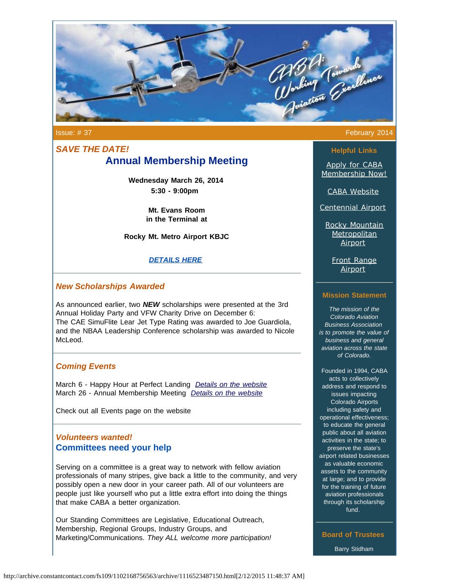

# *SAVE THE DATE!* **Annual Membership Meeting**

**Wednesday March 26, 2014 5:30 - 9:00pm**

> **Mt. Evans Room in the Terminal at**

**Rocky Mt. Metro Airport KBJC**

### *[DETAILS HERE](http://mycaba.org/events?eventId=849701&EventViewMode=EventDetails&utm_source=Newsletter+February+2014&utm_campaign=February+2014+Newsletter&utm_medium=email)*

### *New Scholarships Awarded*

As announced earlier, two *NEW* scholarships were presented at the 3rd Annual Holiday Party and VFW Charity Drive on December 6: The CAE SimuFlite Lear Jet Type Rating was awarded to Joe Guardiola, and the NBAA Leadership Conference scholarship was awarded to Nicole McLeod.

### *Coming Events*

March 6 - Happy Hour at Perfect Landing *[Details on the website](http://mycaba.org/events?eventId=849715&EventViewMode=EventDetails&utm_source=Newsletter+February+2014&utm_campaign=February+2014+Newsletter&utm_medium=email)* March 26 - Annual Membership Meeting *[Details on the website](http://mycaba.org/events?eventId=849701&EventViewMode=EventDetails&utm_source=Newsletter+February+2014&utm_campaign=February+2014+Newsletter&utm_medium=email)*

Check out all Events page on the website

## *Volunteers wanted!* **Committees need your help**

Serving on a committee is a great way to network with fellow aviation professionals of many stripes, give back a little to the community, and very possibly open a new door in your career path. All of our volunteers are people just like yourself who put a little extra effort into doing the things that make CABA a better organization.

Our Standing Committees are Legislative, Educational Outreach, Membership, Regional Groups, Industry Groups, and Marketing/Communications. *They ALL welcome more participation!*

#### Issue: # 37 February 2014

**Helpful Links**

[Apply for CABA](http://www.mycaba.org/application?utm_source=Newsletter+February+2014&utm_campaign=February+2014+Newsletter&utm_medium=email) [Membership Now!](http://www.mycaba.org/application?utm_source=Newsletter+February+2014&utm_campaign=February+2014+Newsletter&utm_medium=email)

[CABA Website](http://www.mycaba.org/?utm_source=Newsletter+February+2014&utm_campaign=February+2014+Newsletter&utm_medium=email)

[Centennial Airport](http://centennialairport.com/?utm_source=Newsletter+February+2014&utm_campaign=February+2014+Newsletter&utm_medium=email)

[Rocky Mountain](http://jeffco.us/airport/?utm_source=Newsletter+February+2014&utm_campaign=February+2014+Newsletter&utm_medium=email) **[Metropolitan](http://jeffco.us/airport/?utm_source=Newsletter+February+2014&utm_campaign=February+2014+Newsletter&utm_medium=email)** [Airport](http://jeffco.us/airport/?utm_source=Newsletter+February+2014&utm_campaign=February+2014+Newsletter&utm_medium=email)

[Front Range](http://www.ftg-airport.com/?utm_source=Newsletter+February+2014&utm_campaign=February+2014+Newsletter&utm_medium=email) [Airport](http://www.ftg-airport.com/?utm_source=Newsletter+February+2014&utm_campaign=February+2014+Newsletter&utm_medium=email)

### **Mission Statement**

*The mission of the Colorado Aviation Business Association is to promote the value of business and general aviation across the state of Colorado.*

Founded in 1994, CABA acts to collectively address and respond to issues impacting Colorado Airports including safety and operational effectiveness; to educate the general public about all aviation activities in the state; to preserve the state's airport related businesses as valuable economic assets to the community at large; and to provide for the training of future aviation professionals through its scholarship fund.

**Board of Trustees** Barry Stidham

http://archive.constantcontact.com/fs109/1102168756563/archive/1116523487150.html[2/12/2015 11:48:37 AM]